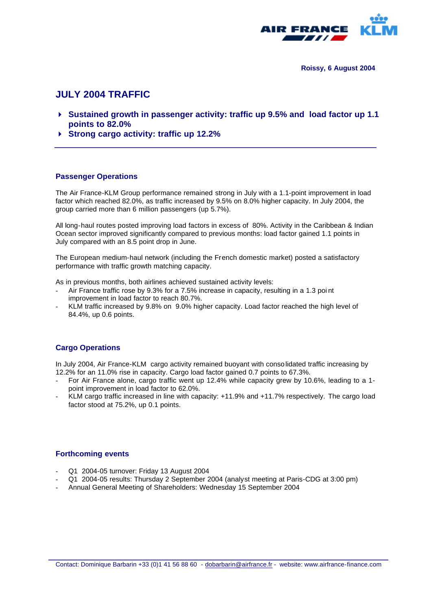

**Roissy, 6 August 2004**

# **JULY 2004 TRAFFIC**

- 4 **Sustained growth in passenger activity: traffic up 9.5% and load factor up 1.1 points to 82.0%**
- 4 **Strong cargo activity: traffic up 12.2%**

#### **Passenger Operations**

The Air France-KLM Group performance remained strong in July with a 1.1-point improvement in load factor which reached 82.0%, as traffic increased by 9.5% on 8.0% higher capacity. In July 2004, the group carried more than 6 million passengers (up 5.7%).

All long-haul routes posted improving load factors in excess of 80%. Activity in the Caribbean & Indian Ocean sector improved significantly compared to previous months: load factor gained 1.1 points in July compared with an 8.5 point drop in June.

The European medium-haul network (including the French domestic market) posted a satisfactory performance with traffic growth matching capacity.

As in previous months, both airlines achieved sustained activity levels:

- Air France traffic rose by 9.3% for a 7.5% increase in capacity, resulting in a 1.3 poi nt improvement in load factor to reach 80.7%.
- KLM traffic increased by 9.8% on 9.0% higher capacity. Load factor reached the high level of 84.4%, up 0.6 points.

### **Cargo Operations**

In July 2004, Air France-KLM cargo activity remained buoyant with consolidated traffic increasing by 12.2% for an 11.0% rise in capacity. Cargo load factor gained 0.7 points to 67.3%.

- For Air France alone, cargo traffic went up 12.4% while capacity grew by 10.6%, leading to a 1point improvement in load factor to 62.0%.
- KLM cargo traffic increased in line with capacity: +11.9% and +11.7% respectively. The cargo load factor stood at 75.2%, up 0.1 points.

#### **Forthcoming events**

- Q1 2004-05 turnover: Friday 13 August 2004
- Q1 2004-05 results: Thursday 2 September 2004 (analyst meeting at Paris-CDG at 3:00 pm)
- Annual General Meeting of Shareholders: Wednesday 15 September 2004